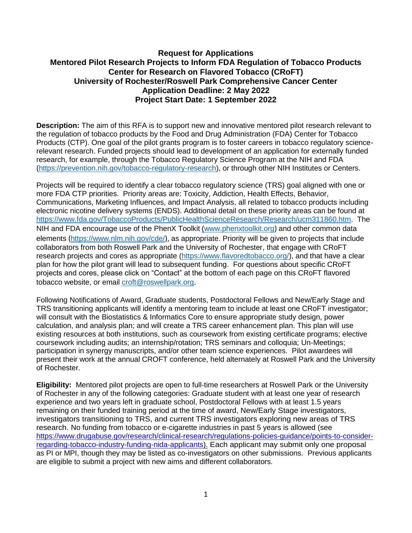## **Request for Applications Mentored Pilot Research Projects to Inform FDA Regulation of Tobacco Products Center for Research on Flavored Tobacco (CRoFT) University of Rochester/Roswell Park Comprehensive Cancer Center Application Deadline: 2 May 2022 Project Start Date: 1 September 2022**

**Description:** The aim of this RFA is to support new and innovative mentored pilot research relevant to the regulation of tobacco products by the Food and Drug Administration (FDA) Center for Tobacco Products (CTP). One goal of the pilot grants program is to foster careers in tobacco regulatory sciencerelevant research. Funded projects should lead to development of an application for externally funded research, for example, through the Tobacco Regulatory Science Program at the NIH and FDA [\(https://prevention.nih.gov/tobacco-regulatory-research\)](https://urldefense.proofpoint.com/v2/url?u=https-3A__prevention.nih.gov_tobacco-2Dregulatory-2Dresearch&d=DwMGaQ&c=4sF48jRmVAe_CH-k9mXYXEGfSnM3bY53YSKuLUQRxhA&r=K9-kK4yQKTqpmrVH4-g_2V5fcwnO6Sb_MWNrePCuerk&m=xqYDPD8LwzgYHvnAtD1ybFvCGbniUWVrpmVScZ42iIY&s=YSVSEnas0MF97dIykUpARucP7ZQvHzwd97n0Irx1ySo&e=), or through other NIH Institutes or Centers.

Projects will be required to identify a clear tobacco regulatory science (TRS) goal aligned with one or more FDA CTP priorities. Priority areas are: Toxicity, Addiction, Health Effects, Behavior, Communications, Marketing Influences, and Impact Analysis, all related to tobacco products including electronic nicotine delivery systems (ENDS). Additional detail on these priority areas can be found at [https://www.fda.gov/TobaccoProducts/PublicHealthScienceResearch/Research/ucm311860.htm.](https://www.fda.gov/TobaccoProducts/PublicHealthScienceResearch/Research/ucm311860.htm) The NIH and FDA encourage use of the PhenX Toolkit [\(www.phenxtoolkit.org](https://urldefense.proofpoint.com/v2/url?u=http-3A__www.phenxtoolkit.org&d=DwMGaQ&c=4sF48jRmVAe_CH-k9mXYXEGfSnM3bY53YSKuLUQRxhA&r=K9-kK4yQKTqpmrVH4-g_2V5fcwnO6Sb_MWNrePCuerk&m=xqYDPD8LwzgYHvnAtD1ybFvCGbniUWVrpmVScZ42iIY&s=bEFpH5_izE7qc1Lt871_Gj9kYqx_tFgDUMK3ECFZeX0&e=)) and other common data elements ([https://www.nlm.nih.gov/cde/](https://urldefense.proofpoint.com/v2/url?u=https-3A__www.nlm.nih.gov_cde_&d=DwMGaQ&c=4sF48jRmVAe_CH-k9mXYXEGfSnM3bY53YSKuLUQRxhA&r=K9-kK4yQKTqpmrVH4-g_2V5fcwnO6Sb_MWNrePCuerk&m=xqYDPD8LwzgYHvnAtD1ybFvCGbniUWVrpmVScZ42iIY&s=OoRYnnr9rIrPz92ME9LwNY5utqnBXXdaNQ-I95eS_Tc&e=)), as appropriate. Priority will be given to projects that include collaborators from both Roswell Park and the University of Rochester, that engage with CRoFT research projects and cores as appropriate [\(https://www.flavoredtobacco.org/\)](https://www.flavoredtobacco.org/), and that have a clear plan for how the pilot grant will lead to subsequent funding. For questions about specific CRoFT projects and cores, please click on "Contact" at the bottom of each page on this CRoFT flavored tobacco website, or email [croft@roswellpark.org](mailto:croft@roswellpark.org).

Following Notifications of Award, Graduate students, Postdoctoral Fellows and New/Early Stage and TRS transitioning applicants will identify a mentoring team to include at least one CRoFT investigator; will consult with the Biostatistics & Informatics Core to ensure appropriate study design, power calculation, and analysis plan; and will create a TRS career enhancement plan. This plan will use existing resources at both institutions, such as coursework from existing certificate programs; elective coursework including audits; an internship/rotation; TRS seminars and colloquia; Un-Meetings; participation in synergy manuscripts, and/or other team science experiences. Pilot awardees will present their work at the annual CROFT conference, held alternately at Roswell Park and the University of Rochester.

**Eligibility:** Mentored pilot projects are open to full-time researchers at Roswell Park or the University of Rochester in any of the following categories: Graduate student with at least one year of research experience and two years left in graduate school, Postdoctoral Fellows with at least 1.5 years remaining on their funded training period at the time of award, New/Early Stage investigators, investigators transitioning to TRS, and current TRS investigators exploring new areas of TRS research. No funding from tobacco or e-cigarette industries in past 5 years is allowed (see [https://www.drugabuse.gov/research/clinical-research/regulations-policies-guidance/points-to-consider](https://www.drugabuse.gov/research/clinical-research/regulations-policies-guidance/points-to-consider-regarding-tobacco-industry-funding-nida-applicants)[regarding-tobacco-industry-funding-nida-applicants\)](https://www.drugabuse.gov/research/clinical-research/regulations-policies-guidance/points-to-consider-regarding-tobacco-industry-funding-nida-applicants). Each applicant may submit only one proposal as PI or MPI, though they may be listed as co-investigators on other submissions. Previous applicants are eligible to submit a project with new aims and different collaborators.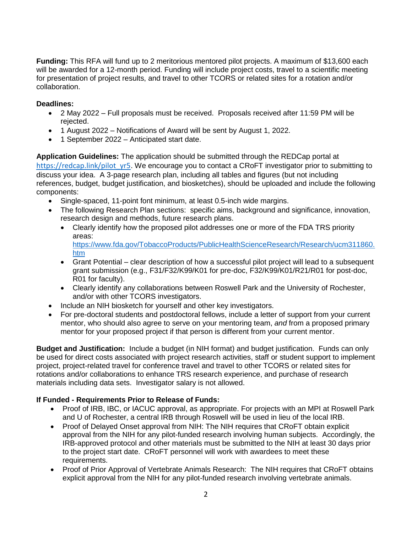**Funding:** This RFA will fund up to 2 meritorious mentored pilot projects. A maximum of \$13,600 each will be awarded for a 12-month period. Funding will include project costs, travel to a scientific meeting for presentation of project results, and travel to other TCORS or related sites for a rotation and/or collaboration.

## **Deadlines:**

- 2 May 2022 Full proposals must be received. Proposals received after 11:59 PM will be rejected.
- 1 August 2022 Notifications of Award will be sent by August 1, 2022.
- 1 September 2022 Anticipated start date.

**Application Guidelines:** The application should be submitted through the REDCap portal at [https://redcap.link/pilot\\_yr5](https://redcap.link/pilot_yr5). We encourage you to contact a CRoFT investigator prior to submitting to discuss your idea. A 3-page research plan, including all tables and figures (but not including references, budget, budget justification, and biosketches), should be uploaded and include the following components:

- Single-spaced, 11-point font minimum, at least 0.5-inch wide margins.
- The following Research Plan sections: specific aims, background and significance, innovation, research design and methods, future research plans.
	- Clearly identify how the proposed pilot addresses one or more of the FDA TRS priority areas: [https://www.fda.gov/TobaccoProducts/PublicHealthScienceResearch/Research/ucm311860.](https://www.fda.gov/TobaccoProducts/PublicHealthScienceResearch/Research/ucm311860.htm) [htm](https://www.fda.gov/TobaccoProducts/PublicHealthScienceResearch/Research/ucm311860.htm)
	- Grant Potential clear description of how a successful pilot project will lead to a subsequent grant submission (e.g., F31/F32/K99/K01 for pre-doc, F32/K99/K01/R21/R01 for post-doc, R01 for faculty).
	- Clearly identify any collaborations between Roswell Park and the University of Rochester, and/or with other TCORS investigators.
- Include an NIH biosketch for yourself and other key investigators.
- For pre-doctoral students and postdoctoral fellows, include a letter of support from your current mentor, who should also agree to serve on your mentoring team, *and* from a proposed primary mentor for your proposed project if that person is different from your current mentor.

**Budget and Justification:** Include a budget (in NIH format) and budget justification. Funds can only be used for direct costs associated with project research activities, staff or student support to implement project, project-related travel for conference travel and travel to other TCORS or related sites for rotations and/or collaborations to enhance TRS research experience, and purchase of research materials including data sets. Investigator salary is not allowed.

## **If Funded - Requirements Prior to Release of Funds:**

- Proof of IRB, IBC, or IACUC approval, as appropriate. For projects with an MPI at Roswell Park and U of Rochester, a central IRB through Roswell will be used in lieu of the local IRB.
- Proof of Delayed Onset approval from NIH: The NIH requires that CRoFT obtain explicit approval from the NIH for any pilot-funded research involving human subjects. Accordingly, the IRB-approved protocol and other materials must be submitted to the NIH at least 30 days prior to the project start date. CRoFT personnel will work with awardees to meet these requirements.
- Proof of Prior Approval of Vertebrate Animals Research: The NIH requires that CRoFT obtains explicit approval from the NIH for any pilot-funded research involving vertebrate animals.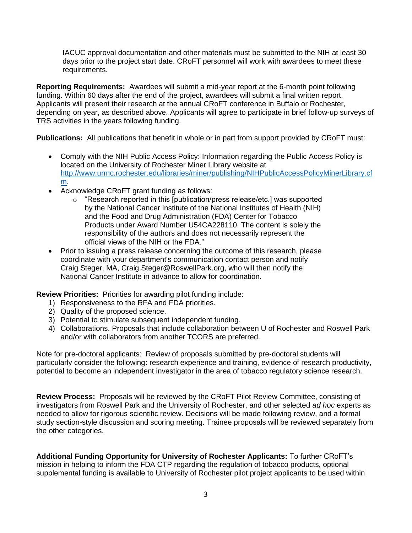IACUC approval documentation and other materials must be submitted to the NIH at least 30 days prior to the project start date. CRoFT personnel will work with awardees to meet these requirements.

**Reporting Requirements:** Awardees will submit a mid-year report at the 6-month point following funding. Within 60 days after the end of the project, awardees will submit a final written report. Applicants will present their research at the annual CRoFT conference in Buffalo or Rochester, depending on year, as described above. Applicants will agree to participate in brief follow-up surveys of TRS activities in the years following funding.

**Publications:** All publications that benefit in whole or in part from support provided by CRoFT must:

- Comply with the NIH Public Access Policy: Information regarding the Public Access Policy is located on the University of Rochester Miner Library website at [http://www.urmc.rochester.edu/libraries/miner/publishing/NIHPublicAccessPolicyMinerLibrary.cf](http://www.urmc.rochester.edu/libraries/miner/publishing/NIHPublicAccessPolicyMinerLibrary.cfm) [m.](http://www.urmc.rochester.edu/libraries/miner/publishing/NIHPublicAccessPolicyMinerLibrary.cfm)
- Acknowledge CRoFT grant funding as follows:
	- o "Research reported in this [publication/press release/etc.] was supported by the National Cancer Institute of the National Institutes of Health (NIH) and the Food and Drug Administration (FDA) Center for Tobacco Products under Award Number U54CA228110. The content is solely the responsibility of the authors and does not necessarily represent the official views of the NIH or the FDA."
- Prior to issuing a press release concerning the outcome of this research, please coordinate with your department's communication contact person and notify Craig Steger, MA, Craig.Steger@RoswellPark.org, who will then notify the National Cancer Institute in advance to allow for coordination.

**Review Priorities:** Priorities for awarding pilot funding include:

- 1) Responsiveness to the RFA and FDA priorities.
- 2) Quality of the proposed science.
- 3) Potential to stimulate subsequent independent funding.
- 4) Collaborations. Proposals that include collaboration between U of Rochester and Roswell Park and/or with collaborators from another TCORS are preferred.

Note for pre-doctoral applicants: Review of proposals submitted by pre-doctoral students will particularly consider the following: research experience and training, evidence of research productivity, potential to become an independent investigator in the area of tobacco regulatory science research.

**Review Process:** Proposals will be reviewed by the CRoFT Pilot Review Committee, consisting of investigators from Roswell Park and the University of Rochester, and other selected *ad hoc* experts as needed to allow for rigorous scientific review. Decisions will be made following review, and a formal study section-style discussion and scoring meeting. Trainee proposals will be reviewed separately from the other categories.

**Additional Funding Opportunity for University of Rochester Applicants:** To further CRoFT's mission in helping to inform the FDA CTP regarding the regulation of tobacco products, optional supplemental funding is available to University of Rochester pilot project applicants to be used within